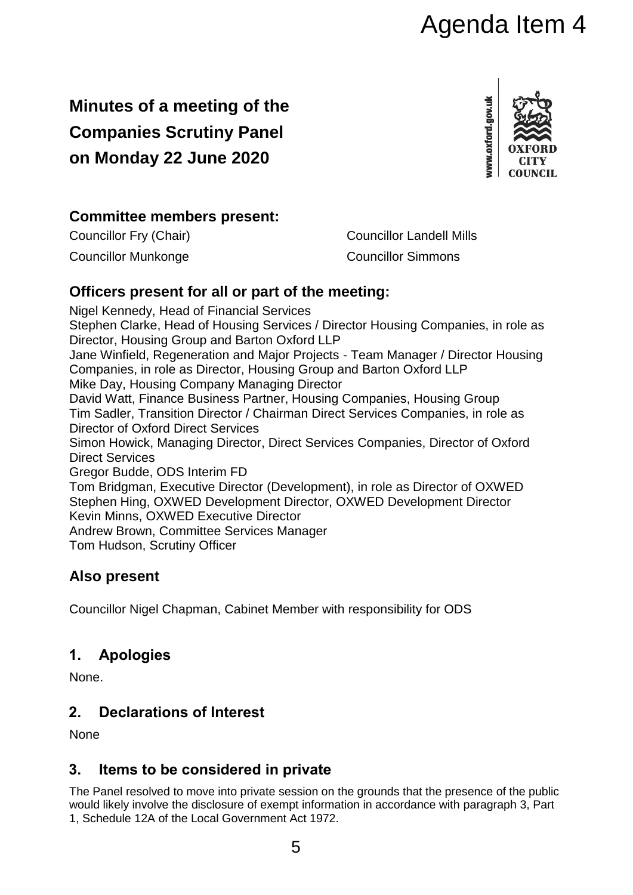# Agenda Item 4

## **Minutes of a meeting of the Companies Scrutiny Panel on Monday 22 June 2020**



## **Committee members present:**

Councillor Fry (Chair) Councillor Landell Mills Councillor Munkonge Councillor Simmons

## **Officers present for all or part of the meeting:**

Nigel Kennedy, Head of Financial Services Stephen Clarke, Head of Housing Services / Director Housing Companies, in role as Director, Housing Group and Barton Oxford LLP Jane Winfield, Regeneration and Major Projects - Team Manager / Director Housing Companies, in role as Director, Housing Group and Barton Oxford LLP Mike Day, Housing Company Managing Director David Watt, Finance Business Partner, Housing Companies, Housing Group Tim Sadler, Transition Director / Chairman Direct Services Companies, in role as Director of Oxford Direct Services Simon Howick, Managing Director, Direct Services Companies, Director of Oxford Direct Services Gregor Budde, ODS Interim FD Tom Bridgman, Executive Director (Development), in role as Director of OXWED Stephen Hing, OXWED Development Director, OXWED Development Director Kevin Minns, OXWED Executive Director Andrew Brown, Committee Services Manager Tom Hudson, Scrutiny Officer

## **Also present**

Councillor Nigel Chapman, Cabinet Member with responsibility for ODS

## **1. Apologies**

None.

## **2. Declarations of Interest**

None

## **3. Items to be considered in private**

The Panel resolved to move into private session on the grounds that the presence of the public would likely involve the disclosure of exempt information in accordance with paragraph 3, Part 1, Schedule 12A of the Local Government Act 1972.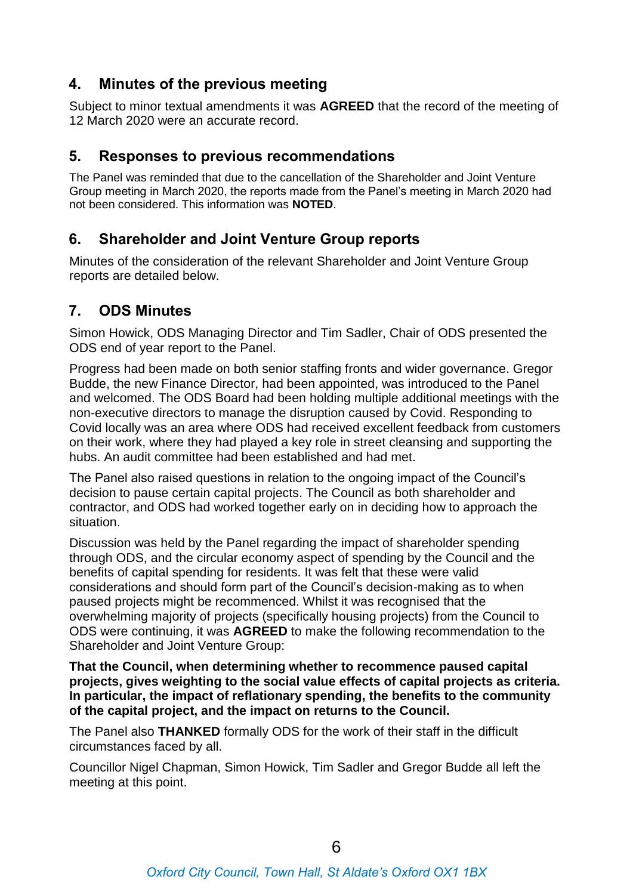## **4. Minutes of the previous meeting**

Subject to minor textual amendments it was **AGREED** that the record of the meeting of 12 March 2020 were an accurate record.

#### **5. Responses to previous recommendations**

The Panel was reminded that due to the cancellation of the Shareholder and Joint Venture Group meeting in March 2020, the reports made from the Panel's meeting in March 2020 had not been considered. This information was **NOTED**.

## **6. Shareholder and Joint Venture Group reports**

Minutes of the consideration of the relevant Shareholder and Joint Venture Group reports are detailed below.

## **7. ODS Minutes**

Simon Howick, ODS Managing Director and Tim Sadler, Chair of ODS presented the ODS end of year report to the Panel.

Progress had been made on both senior staffing fronts and wider governance. Gregor Budde, the new Finance Director, had been appointed, was introduced to the Panel and welcomed. The ODS Board had been holding multiple additional meetings with the non-executive directors to manage the disruption caused by Covid. Responding to Covid locally was an area where ODS had received excellent feedback from customers on their work, where they had played a key role in street cleansing and supporting the hubs. An audit committee had been established and had met.

The Panel also raised questions in relation to the ongoing impact of the Council's decision to pause certain capital projects. The Council as both shareholder and contractor, and ODS had worked together early on in deciding how to approach the situation.

Discussion was held by the Panel regarding the impact of shareholder spending through ODS, and the circular economy aspect of spending by the Council and the benefits of capital spending for residents. It was felt that these were valid considerations and should form part of the Council's decision-making as to when paused projects might be recommenced. Whilst it was recognised that the overwhelming majority of projects (specifically housing projects) from the Council to ODS were continuing, it was **AGREED** to make the following recommendation to the Shareholder and Joint Venture Group:

**That the Council, when determining whether to recommence paused capital projects, gives weighting to the social value effects of capital projects as criteria. In particular, the impact of reflationary spending, the benefits to the community of the capital project, and the impact on returns to the Council.**

The Panel also **THANKED** formally ODS for the work of their staff in the difficult circumstances faced by all.

Councillor Nigel Chapman, Simon Howick, Tim Sadler and Gregor Budde all left the meeting at this point.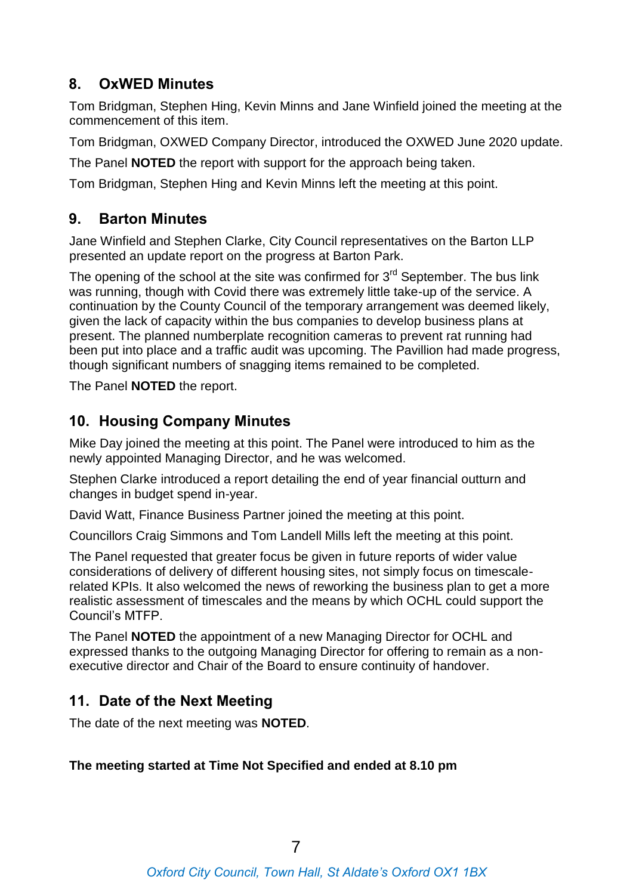## **8. OxWED Minutes**

Tom Bridgman, Stephen Hing, Kevin Minns and Jane Winfield joined the meeting at the commencement of this item.

Tom Bridgman, OXWED Company Director, introduced the OXWED June 2020 update.

The Panel **NOTED** the report with support for the approach being taken.

Tom Bridgman, Stephen Hing and Kevin Minns left the meeting at this point.

## **9. Barton Minutes**

Jane Winfield and Stephen Clarke, City Council representatives on the Barton LLP presented an update report on the progress at Barton Park.

The opening of the school at the site was confirmed for  $3<sup>rd</sup>$  September. The bus link was running, though with Covid there was extremely little take-up of the service. A continuation by the County Council of the temporary arrangement was deemed likely, given the lack of capacity within the bus companies to develop business plans at present. The planned numberplate recognition cameras to prevent rat running had been put into place and a traffic audit was upcoming. The Pavillion had made progress, though significant numbers of snagging items remained to be completed.

The Panel **NOTED** the report.

## **10. Housing Company Minutes**

Mike Day joined the meeting at this point. The Panel were introduced to him as the newly appointed Managing Director, and he was welcomed.

Stephen Clarke introduced a report detailing the end of year financial outturn and changes in budget spend in-year.

David Watt, Finance Business Partner joined the meeting at this point.

Councillors Craig Simmons and Tom Landell Mills left the meeting at this point.

The Panel requested that greater focus be given in future reports of wider value considerations of delivery of different housing sites, not simply focus on timescalerelated KPIs. It also welcomed the news of reworking the business plan to get a more realistic assessment of timescales and the means by which OCHL could support the Council's MTFP.

The Panel **NOTED** the appointment of a new Managing Director for OCHL and expressed thanks to the outgoing Managing Director for offering to remain as a nonexecutive director and Chair of the Board to ensure continuity of handover.

## **11. Date of the Next Meeting**

The date of the next meeting was **NOTED**.

#### **The meeting started at Time Not Specified and ended at 8.10 pm**